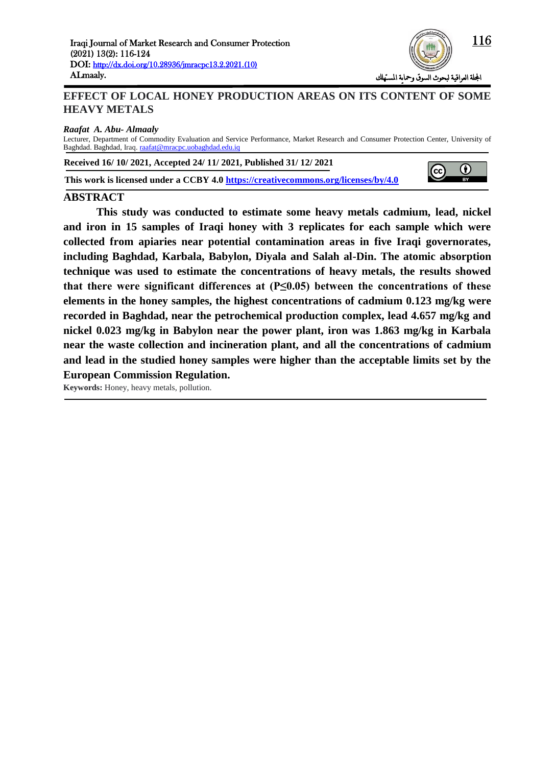

# **EFFECT OF LOCAL HONEY PRODUCTION AREAS ON ITS CONTENT OF SOME HEAVY METALS**

*Raafat A. Abu- Almaaly*

Lecturer, Department of Commodity Evaluation and Service Performance, Market Research and Consumer Protection Center, University of Baghdad. Baghdad, Iraq. [raafat@mracpc.uobaghdad.edu.iq](mailto:raafat@mracpc.uobaghdad.edu.iq)

**Received 16/ 10/ 2021, Accepted 24/ 11/ 2021, Published 31/ 12/ 2021**

**This work is licensed under a CCBY 4.0<https://creativecommons.org/licenses/by/4.0>**



#### **ABSTRACT**

**This study was conducted to estimate some heavy metals cadmium, lead, nickel and iron in 15 samples of Iraqi honey with 3 replicates for each sample which were collected from apiaries near potential contamination areas in five Iraqi governorates, including Baghdad, Karbala, Babylon, Diyala and Salah al-Din. The atomic absorption technique was used to estimate the concentrations of heavy metals, the results showed that there were significant differences at (P≤0.05) between the concentrations of these elements in the honey samples, the highest concentrations of cadmium 0.123 mg/kg were recorded in Baghdad, near the petrochemical production complex, lead 4.657 mg/kg and nickel 0.023 mg/kg in Babylon near the power plant, iron was 1.863 mg/kg in Karbala near the waste collection and incineration plant, and all the concentrations of cadmium and lead in the studied honey samples were higher than the acceptable limits set by the European Commission Regulation.**

**Keywords:** Honey, heavy metals, pollution.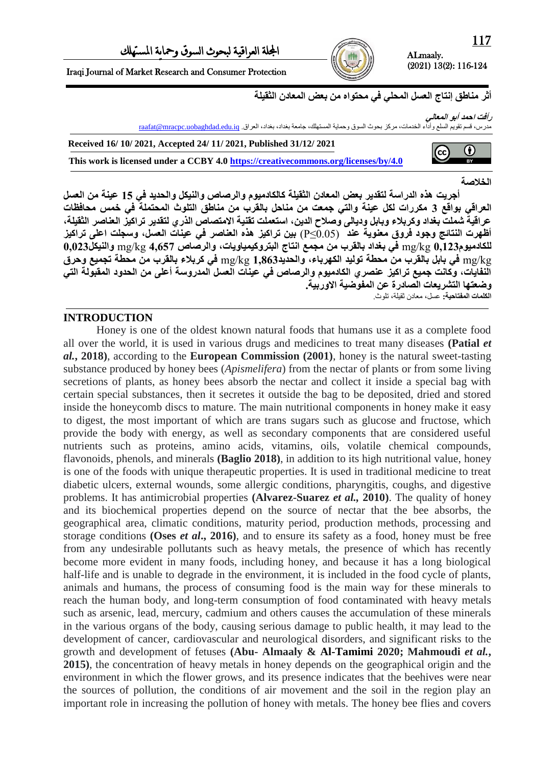ALmaaly. (2021) 13(2): 116-124

Iraqi Journal of Market Research and Consumer Protection

أثر مناطق إنتاج الع*سل* المحلي في محتواه من بعض المعادن الثقيلة

**رأفج احمذ أبى المعالً**

 $\left( c\right)$ 

مدرس، قسم تقويم السلع واداء الخدمات، مركز بحوث السوق وحماية المستهلك، جامعة بغذاد، بغداد، العراق<sub>،</sub> raafat@mracpc.uobaghdad.edu.iq

**Received 16/ 10/ 2021, Accepted 24/ 11/ 2021, Published 31/12/ 2021**

**This work is licensed under a CCBY 4.0<https://creativecommons.org/licenses/by/4.0>**

## **الخالصت**

0

أجريت هذه الدراسة لتقدير بعض المعادن الثقيلة كالكادميوم والرصاص والنيكل والحديد ف*ي* 15 عينة من العسل العراقي بواقع 3 مكررات لكل عينة والتي جمعت من مناحل بالقرب من مناطق التلوث المحتملة في خمس محافظات عراقية شملت بغداد وكربلاء وبابل وديال*ى* وصلاح الدين، استعملت تقنية الامتصاص الذري لتقدير تراكيز العناصر الثقيلة، **أظهزث الىخائح وخىد فزوق معىىٌت عىذ** (0.05≥P (**بٍه حزاكٍز هذي العىاصز فً عٍىاث العسل، وسدلج اعلى حزاكٍز للكادمٍىم325,3** kg/mg **فً بغذاد بالمزب مه مدمع اوخاج البخزوكٍمٍاوٌاث، والزصاص 72614** kg/mg **والىٍكل323,3** kg/mg **فً بابل بالمزب مه محطت حىلٍذ الكهزباء، والحذٌذ52863** kg/mg **فً كزبالء بالمزب مه محطت حدمٍع وحزق**  النفايات، وكانت جميع تراكيز عنصري الكادميوم والرصاص في عينات العسل المدروسة أعلى من الحدود المقبولة التي **وضعخها الخشزٌعاث الصادرة عه المفىضٍت االوربٍت. الكلماث المفخاحٍت:** عسل, معادن ثقيلة, تلىث.

# **INTRODUCTION**

Honey is one of the oldest known natural foods that humans use it as a complete food all over the world, it is used in various drugs and medicines to treat many diseases **(Patial** *et al.***, 2018)**, according to the **European Commission (2001)**, honey is the natural sweet-tasting substance produced by honey bees (*Apismelifera*) from the nectar of plants or from some living secretions of plants, as honey bees absorb the nectar and collect it inside a special bag with certain special substances, then it secretes it outside the bag to be deposited, dried and stored inside the honeycomb discs to mature. The main nutritional components in honey make it easy to digest, the most important of which are trans sugars such as glucose and fructose, which provide the body with energy, as well as secondary components that are considered useful nutrients such as proteins, amino acids, vitamins, oils, volatile chemical compounds, flavonoids, phenols, and minerals **(Baglio 2018)**, in addition to its high nutritional value, honey is one of the foods with unique therapeutic properties. It is used in traditional medicine to treat diabetic ulcers, external wounds, some allergic conditions, pharyngitis, coughs, and digestive problems. It has antimicrobial properties **(Alvarez-Suarez** *et al.,* **2010)**. The quality of honey and its biochemical properties depend on the source of nectar that the bee absorbs, the geographical area, climatic conditions, maturity period, production methods, processing and storage conditions **(Oses** *et al***., 2016)**, and to ensure its safety as a food, honey must be free from any undesirable pollutants such as heavy metals, the presence of which has recently become more evident in many foods, including honey, and because it has a long biological half-life and is unable to degrade in the environment, it is included in the food cycle of plants, animals and humans, the process of consuming food is the main way for these minerals to reach the human body, and long-term consumption of food contaminated with heavy metals such as arsenic, lead, mercury, cadmium and others causes the accumulation of these minerals in the various organs of the body, causing serious damage to public health, it may lead to the development of cancer, cardiovascular and neurological disorders, and significant risks to the growth and development of fetuses **(Abu- Almaaly & Al-Tamimi 2020; Mahmoudi** *et al.***, 2015)**, the concentration of heavy metals in honey depends on the geographical origin and the environment in which the flower grows, and its presence indicates that the beehives were near the sources of pollution, the conditions of air movement and the soil in the region play an important role in increasing the pollution of honey with metals. The honey bee flies and covers

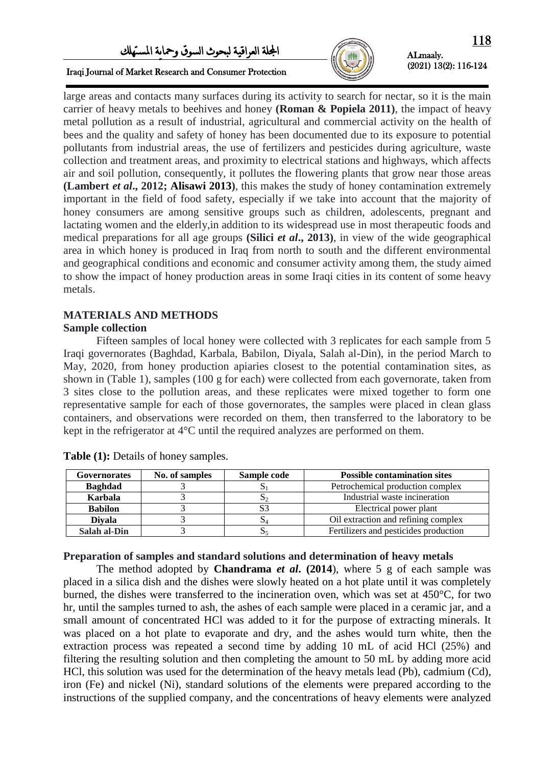# اجمللة العراقية لبحىث السىق ومحاية املستهلك



# ALmaaly. (2021) 13(2): 116-124

Iraqi Journal of Market Research and Consumer Protection

large areas and contacts many surfaces during its activity to search for nectar, so it is the main carrier of heavy metals to beehives and honey **(Roman & Popiela 2011)**, the impact of heavy metal pollution as a result of industrial, agricultural and commercial activity on the health of bees and the quality and safety of honey has been documented due to its exposure to potential pollutants from industrial areas, the use of fertilizers and pesticides during agriculture, waste collection and treatment areas, and proximity to electrical stations and highways, which affects air and soil pollution, consequently, it pollutes the flowering plants that grow near those areas **(Lambert** *et al***., 2012; Alisawi 2013)**, this makes the study of honey contamination extremely important in the field of food safety, especially if we take into account that the majority of honey consumers are among sensitive groups such as children, adolescents, pregnant and lactating women and the elderly,in addition to its widespread use in most therapeutic foods and medical preparations for all age groups **(Silici** *et al***., 2013)**, in view of the wide geographical area in which honey is produced in Iraq from north to south and the different environmental and geographical conditions and economic and consumer activity among them, the study aimed to show the impact of honey production areas in some Iraqi cities in its content of some heavy metals.

## **MATERIALS AND METHODS**

## **Sample collection**

Fifteen samples of local honey were collected with 3 replicates for each sample from 5 Iraqi governorates (Baghdad, Karbala, Babilon, Diyala, Salah al-Din), in the period March to May, 2020, from honey production apiaries closest to the potential contamination sites, as shown in (Table 1), samples (100 g for each) were collected from each governorate, taken from 3 sites close to the pollution areas, and these replicates were mixed together to form one representative sample for each of those governorates, the samples were placed in clean glass containers, and observations were recorded on them, then transferred to the laboratory to be kept in the refrigerator at 4°C until the required analyzes are performed on them.

| <b>Governorates</b> | No. of samples | Sample code | <b>Possible contamination sites</b>   |  |  |
|---------------------|----------------|-------------|---------------------------------------|--|--|
| <b>Baghdad</b>      |                |             | Petrochemical production complex      |  |  |
| Karbala             |                |             | Industrial waste incineration         |  |  |
| <b>Babilon</b>      |                |             | Electrical power plant                |  |  |
| <b>Divala</b>       |                |             | Oil extraction and refining complex   |  |  |
| Salah al-Din        |                |             | Fertilizers and pesticides production |  |  |

**Table (1):** Details of honey samples.

#### **Preparation of samples and standard solutions and determination of heavy metals**

The method adopted by **Chandrama** *et al***. (2014**), where 5 g of each sample was placed in a silica dish and the dishes were slowly heated on a hot plate until it was completely burned, the dishes were transferred to the incineration oven, which was set at 450°C, for two hr, until the samples turned to ash, the ashes of each sample were placed in a ceramic jar, and a small amount of concentrated HCl was added to it for the purpose of extracting minerals. It was placed on a hot plate to evaporate and dry, and the ashes would turn white, then the extraction process was repeated a second time by adding 10 mL of acid HCl (25%) and filtering the resulting solution and then completing the amount to 50 mL by adding more acid HCl, this solution was used for the determination of the heavy metals lead (Pb), cadmium (Cd), iron (Fe) and nickel (Ni), standard solutions of the elements were prepared according to the instructions of the supplied company, and the concentrations of heavy elements were analyzed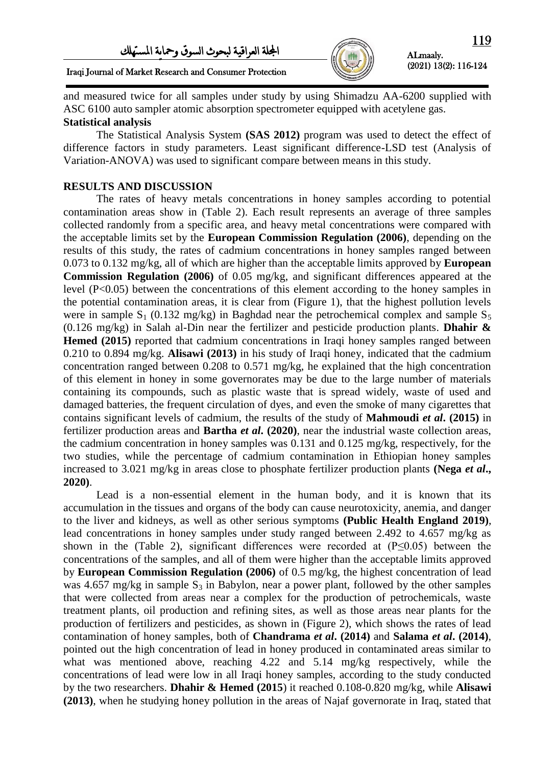

ALmaaly. (2021) 13(2): 116-124

Iraqi Journal of Market Research and Consumer Protection

and measured twice for all samples under study by using Shimadzu AA-6200 supplied with ASC 6100 auto sampler atomic absorption spectrometer equipped with acetylene gas. **Statistical analysis**

The Statistical Analysis System **(SAS 2012)** program was used to detect the effect of difference factors in study parameters. Least significant difference-LSD test (Analysis of Variation-ANOVA) was used to significant compare between means in this study.

## **RESULTS AND DISCUSSION**

The rates of heavy metals concentrations in honey samples according to potential contamination areas show in (Table 2). Each result represents an average of three samples collected randomly from a specific area, and heavy metal concentrations were compared with the acceptable limits set by the **European Commission Regulation (2006)**, depending on the results of this study, the rates of cadmium concentrations in honey samples ranged between 0.073 to 0.132 mg/kg, all of which are higher than the acceptable limits approved by **European Commission Regulation (2006)** of 0.05 mg/kg, and significant differences appeared at the level (P<0.05) between the concentrations of this element according to the honey samples in the potential contamination areas, it is clear from (Figure 1), that the highest pollution levels were in sample  $S_1$  (0.132 mg/kg) in Baghdad near the petrochemical complex and sample  $S_5$ (0.126 mg/kg) in Salah al-Din near the fertilizer and pesticide production plants. **Dhahir & Hemed (2015)** reported that cadmium concentrations in Iraqi honey samples ranged between 0.210 to 0.894 mg/kg. **Alisawi (2013)** in his study of Iraqi honey, indicated that the cadmium concentration ranged between 0.208 to 0.571 mg/kg, he explained that the high concentration of this element in honey in some governorates may be due to the large number of materials containing its compounds, such as plastic waste that is spread widely, waste of used and damaged batteries, the frequent circulation of dyes, and even the smoke of many cigarettes that contains significant levels of cadmium, the results of the study of **Mahmoudi** *et al***. (2015)** in fertilizer production areas and **Bartha** *et al***. (2020)**, near the industrial waste collection areas, the cadmium concentration in honey samples was 0.131 and 0.125 mg/kg, respectively, for the two studies, while the percentage of cadmium contamination in Ethiopian honey samples increased to 3.021 mg/kg in areas close to phosphate fertilizer production plants **(Nega** *et al***., 2020)**.

Lead is a non-essential element in the human body, and it is known that its accumulation in the tissues and organs of the body can cause neurotoxicity, anemia, and danger to the liver and kidneys, as well as other serious symptoms **[\(Public Health England](https://www.gov.uk/government/organisations/public-health-england) 2019)**, lead concentrations in honey samples under study ranged between 2.492 to 4.657 mg/kg as shown in the (Table 2), significant differences were recorded at  $(P<0.05)$  between the concentrations of the samples, and all of them were higher than the acceptable limits approved by **European Commission Regulation (2006)** of 0.5 mg/kg, the highest concentration of lead was 4.657 mg/kg in sample  $S_3$  in Babylon, near a power plant, followed by the other samples that were collected from areas near a complex for the production of petrochemicals, waste treatment plants, oil production and refining sites, as well as those areas near plants for the production of fertilizers and pesticides, as shown in (Figure 2), which shows the rates of lead contamination of honey samples, both of **Chandrama** *et al***. (2014)** and **Salama** *et al***. (2014)**, pointed out the high concentration of lead in honey produced in contaminated areas similar to what was mentioned above, reaching 4.22 and 5.14 mg/kg respectively, while the concentrations of lead were low in all Iraqi honey samples, according to the study conducted by the two researchers. **Dhahir & Hemed (2015**) it reached 0.108-0.820 mg/kg, while **Alisawi (2013)**, when he studying honey pollution in the areas of Najaf governorate in Iraq, stated that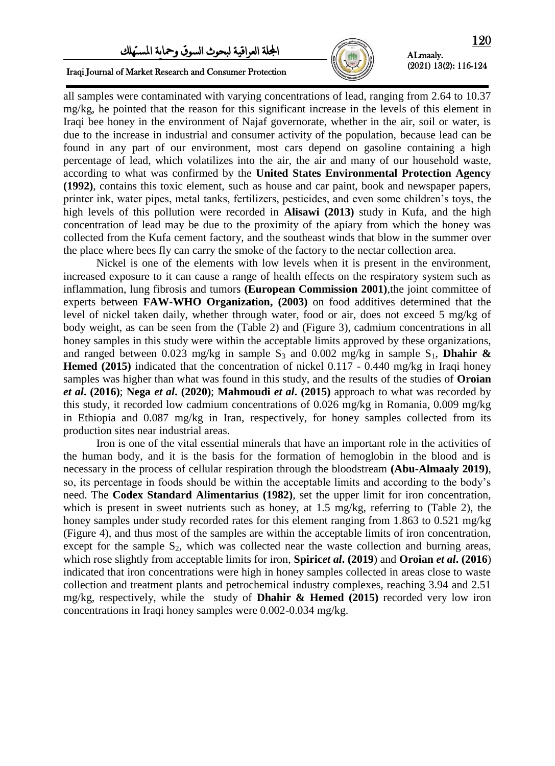# اجمللة العراقية لبحىث السىق ومحاية املستهلك



Iraqi Journal of Market Research and Consumer Protection

all samples were contaminated with varying concentrations of lead, ranging from 2.64 to 10.37 mg/kg, he pointed that the reason for this significant increase in the levels of this element in Iraqi bee honey in the environment of Najaf governorate, whether in the air, soil or water, is due to the increase in industrial and consumer activity of the population, because lead can be found in any part of our environment, most cars depend on gasoline containing a high percentage of lead, which volatilizes into the air, the air and many of our household waste, according to what was confirmed by the **United States Environmental Protection Agency (1992)**, contains this toxic element, such as house and car paint, book and newspaper papers, printer ink, water pipes, metal tanks, fertilizers, pesticides, and even some children's toys, the high levels of this pollution were recorded in **Alisawi (2013)** study in Kufa, and the high concentration of lead may be due to the proximity of the apiary from which the honey was collected from the Kufa cement factory, and the southeast winds that blow in the summer over the place where bees fly can carry the smoke of the factory to the nectar collection area.

Nickel is one of the elements with low levels when it is present in the environment, increased exposure to it can cause a range of health effects on the respiratory system such as inflammation, lung fibrosis and tumors **(European Commission 2001)**,the joint committee of experts between **FAW-WHO Organization, (2003)** on food additives determined that the level of nickel taken daily, whether through water, food or air, does not exceed 5 mg/kg of body weight, as can be seen from the (Table 2) and (Figure 3), cadmium concentrations in all honey samples in this study were within the acceptable limits approved by these organizations, and ranged between 0.023 mg/kg in sample  $S_3$  and 0.002 mg/kg in sample  $S_1$ , **Dhahir & Hemed (2015)** indicated that the concentration of nickel 0.117 - 0.440 mg/kg in Iraqi honey samples was higher than what was found in this study, and the results of the studies of **Oroian** *et al***. (2016)**; **Nega** *et al***. (2020)**; **Mahmoudi** *et al***. (2015)** approach to what was recorded by this study, it recorded low cadmium concentrations of 0.026 mg/kg in Romania, 0.009 mg/kg in Ethiopia and 0.087 mg/kg in Iran, respectively, for honey samples collected from its production sites near industrial areas.

Iron is one of the vital essential minerals that have an important role in the activities of the human body, and it is the basis for the formation of hemoglobin in the blood and is necessary in the process of cellular respiration through the bloodstream **(Abu-Almaaly 2019)**, so, its percentage in foods should be within the acceptable limits and according to the body's need. The **Codex Standard Alimentarius (1982)**, set the upper limit for iron concentration, which is present in sweet nutrients such as honey, at 1.5 mg/kg, referring to (Table 2), the honey samples under study recorded rates for this element ranging from 1.863 to 0.521 mg/kg (Figure 4), and thus most of the samples are within the acceptable limits of iron concentration, except for the sample  $S_2$ , which was collected near the waste collection and burning areas, which rose slightly from acceptable limits for iron, **Spiric***et al***. (2019**) and **Oroian** *et al***. (2016**) indicated that iron concentrations were high in honey samples collected in areas close to waste collection and treatment plants and petrochemical industry complexes, reaching 3.94 and 2.51 mg/kg, respectively, while the study of **Dhahir & Hemed (2015)** recorded very low iron concentrations in Iraqi honey samples were 0.002-0.034 mg/kg.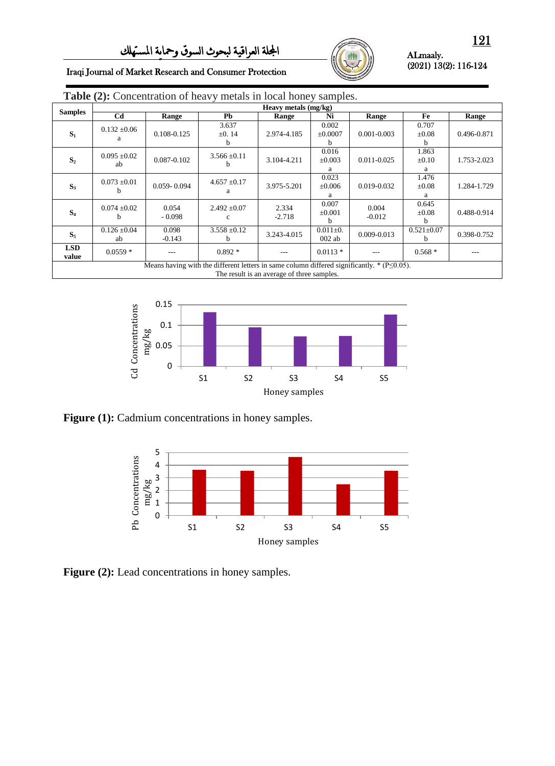

#### ALmaaly. (2021) 13(2): 116-124

Iraqi Journal of Market Research and Consumer Protection

| <b>Table (2):</b> Concentration of heavy metals in local honey samples.                    |                        |                   |                           |                   |                                      |                   |                           |             |  |  |
|--------------------------------------------------------------------------------------------|------------------------|-------------------|---------------------------|-------------------|--------------------------------------|-------------------|---------------------------|-------------|--|--|
| <b>Samples</b>                                                                             | Heavy metals (mg/kg)   |                   |                           |                   |                                      |                   |                           |             |  |  |
|                                                                                            | C <sub>d</sub>         | Range             | <b>Pb</b>                 | Range             | Ni                                   | Range             | Fe                        | Range       |  |  |
| $S_1$                                                                                      | $0.132 \pm 0.06$<br>а  | 0.108-0.125       | 3.637<br>$\pm 0.14$<br>h. | 2.974-4.185       | 0.002<br>$\pm 0.0007$<br>b           | $0.001 - 0.003$   | 0.707<br>$\pm 0.08$<br>b  | 0.496-0.871 |  |  |
| S <sub>2</sub>                                                                             | $0.095 \pm 0.02$<br>ab | 0.087-0.102       | $3.566 \pm 0.11$          | 3.104-4.211       | 0.016<br>$\pm 0.003$<br>a            | $0.011 - 0.025$   | 1.863<br>$\pm 0.10$<br>a  | 1.753-2.023 |  |  |
| $S_3$                                                                                      | $0.073 \pm 0.01$<br>h  | $0.059 - 0.094$   | $4.657 \pm 0.17$<br>a     | 3.975-5.201       | 0.023<br>$\pm 0.006$<br>a            | 0.019-0.032       | 1.476<br>$\pm 0.08$<br>a  | 1.284-1.729 |  |  |
| S <sub>4</sub>                                                                             | $0.074 \pm 0.02$<br>h  | 0.054<br>$-0.098$ | $2.492 \pm 0.07$<br>c     | 2.334<br>$-2.718$ | 0.007<br>$\pm 0.001$<br><sub>h</sub> | 0.004<br>$-0.012$ | 0.645<br>$\pm 0.08$<br>h. | 0.488-0.914 |  |  |
| $S_5$                                                                                      | $0.126 \pm 0.04$<br>ab | 0.098<br>$-0.143$ | $3.558 \pm 0.12$          | 3.243-4.015       | $0.011 \pm 0.$<br>$002$ ab           | $0.009 - 0.013$   | $0.521 \pm 0.07$<br>h.    | 0.398-0.752 |  |  |
| <b>LSD</b><br>value                                                                        | $0.0559*$              |                   | $0.892*$                  | ---               | $0.0113*$                            |                   | $0.568*$                  | ---         |  |  |
| Means having with the different letters in same column differed significantly, $*(P<0.05)$ |                        |                   |                           |                   |                                      |                   |                           |             |  |  |

Means having with the different letters in same column differed significantly.  $*(P \leq 0.05)$ . The result is an average of three samples.



Figure (1): Cadmium concentrations in honey samples.



Figure (2): Lead concentrations in honey samples.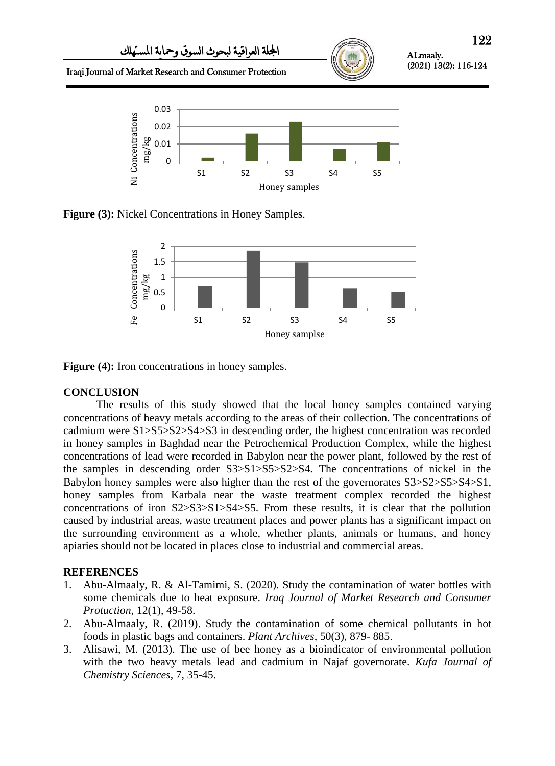

**Figure (3):** Nickel Concentrations in Honey Samples.



**Figure (4):** Iron concentrations in honey samples.

# **CONCLUSION**

The results of this study showed that the local honey samples contained varying concentrations of heavy metals according to the areas of their collection. The concentrations of cadmium were S1>S5>S2>S4>S3 in descending order, the highest concentration was recorded in honey samples in Baghdad near the Petrochemical Production Complex, while the highest concentrations of lead were recorded in Babylon near the power plant, followed by the rest of the samples in descending order S3>S1>S5>S2>S4. The concentrations of nickel in the Babylon honey samples were also higher than the rest of the governorates S3>S2>S5>S4>S1, honey samples from Karbala near the waste treatment complex recorded the highest concentrations of iron S2>S3>S1>S4>S5. From these results, it is clear that the pollution caused by industrial areas, waste treatment places and power plants has a significant impact on the surrounding environment as a whole, whether plants, animals or humans, and honey apiaries should not be located in places close to industrial and commercial areas.

## **REFERENCES**

- 1. Abu-Almaaly, R. & Al-Tamimi, S. (2020). Study the contamination of water bottles with some chemicals due to heat exposure. *Iraq Journal of Market Research and Consumer Protuction*, 12(1), 49-58.
- 2. Abu-Almaaly, R. (2019). Study the contamination of some chemical pollutants in hot foods in plastic bags and containers. *Plant Archives*, 50(3), 879- 885.
- 3. Alisawi, M. (2013). The use of bee honey as a bioindicator of environmental pollution with the two heavy metals lead and cadmium in Najaf governorate. *Kufa Journal of Chemistry Sciences*, 7, 35-45.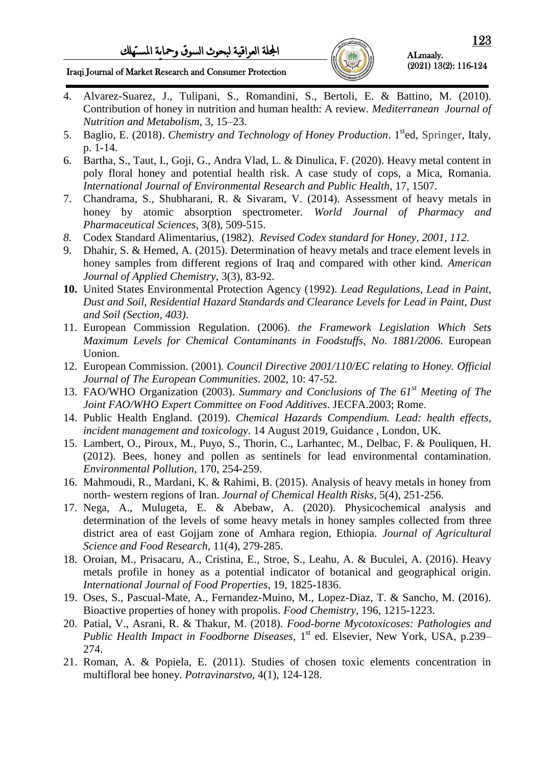Iraqi Journal of Market Research and Consumer Protection

ALmaaly. (2021) 13(2): 116-124

- 4. Alvarez-Suarez, J., Tulipani, S., Romandini, S., Bertoli, E. & Battino, M. (2010). Contribution of honey in nutrition and human health: A review. *Mediterranean Journal of Nutrition and Metabolism*, 3, 15–23.
- 5. Baglio, E. (2018). *Chemistry and Technology of Honey Production*. 1sted, Springer, Italy, p. 1-14.
- 6. Bartha, S., Taut, I., Goji, G., Andra Vlad, L. & Dinulica, F. (2020). Heavy metal content in poly floral honey and potential health risk. A case study of cops, a Mica, Romania. *International Journal of Environmental Research and Public Health*, 17, 1507.
- 7. Chandrama, S., Shubharani, R. & Sivaram, V. (2014). Assessment of heavy metals in honey by atomic absorption spectrometer. *World Journal of Pharmacy and Pharmaceutical Sciences*, 3(8), 509-515.
- *8.* Codex Standard Alimentarius, (1982). *Revised Codex standard for Honey, 2001, 112.*
- 9. Dhahir, S. & Hemed, A. (2015). Determination of heavy metals and trace element levels in honey samples from different regions of Iraq and compared with other kind. *[American](javascript:void(0);)  [Journal of Applied Chemistry](javascript:void(0);)*, 3(3), 83-92.
- **10.** United States Environmental Protection Agency (1992). *Lead Regulations, Lead in Paint, Dust and Soil, [Residential Hazard Standards and Clearance Levels for Lead in Paint, Dust](https://www.epa.gov/lead/hazard-standards-lead-paint-dust-and-soil-tsca-section-403)  [and Soil \(Section, 403\)](https://www.epa.gov/lead/hazard-standards-lead-paint-dust-and-soil-tsca-section-403)*.
- 11. European Commission Regulation. (2006). *the Framework Legislation Which Sets Maximum Levels for Chemical Contaminants in Foodstuffs*, *No. 1881/2006*. European Uonion.
- 12. European Commission. (2001). *Council Directive 2001/110/EC relating to Honey. Official Journal of The European Communities*. 2002, 10: 47-52.
- 13. FAO/WHO Organization (2003). *Summary and Conclusions of The 61st Meeting of The Joint FAO/WHO Expert Committee on Food Additives*. JECFA.2003; Rome.
- 14. [Public Health England.](https://www.gov.uk/government/organisations/public-health-england) (2019). *Chemical Hazards Compendium. [Lead: health effects,](https://www.gov.uk/government/publications/lead-properties-incident-management-and-toxicology)  [incident management and toxicology](https://www.gov.uk/government/publications/lead-properties-incident-management-and-toxicology)*. 14 August 2019, Guidance , London, UK.
- 15. Lambert, O., Piroux, M., Puyo, S., Thorin, C., Larhantec, M., Delbac, F. & Pouliquen, H. (2012). Bees, honey and pollen as sentinels for lead environmental contamination. *Environmental Pollution*, 170, 254-259.
- 16. Mahmoudi, R., Mardani, K. & Rahimi, B. (2015). Analysis of heavy metals in honey from north- western regions of Iran. *Journal of Chemical Health Risks*, 5(4), 251-256.
- 17. Nega, A., Mulugeta, E. & Abebaw, A. (2020). Physicochemical analysis and determination of the levels of some heavy metals in honey samples collected from three district area of east Gojjam zone of Amhara region, Ethiopia. *Journal of Agricultural Science and Food Research*, 11(4), 279-285.
- 18. Oroian, M., Prisacaru, A., Cristina, E., Stroe, S., Leahu, A. & Buculei, A. (2016). Heavy metals profile in honey as a potential indicator of botanical and geographical origin. *International Journal of Food Properties*, 19, 1825-1836.
- 19. Oses, S., Pascual-Mate, A., Fernandez-Muino, M., Lopez-Diaz, T. & Sancho, M. (2016). Bioactive properties of honey with propolis. *Food Chemistry*, 196, 1215-1223.
- 20. Patial, V., Asrani, R. & Thakur, M. (2018). *Food-borne Mycotoxicoses: Pathologies and Public Health Impact in Foodborne Diseases*, 1<sup>st</sup> ed. Elsevier, New York, USA, p.239– 274.
- 21. Roman, A. & Popiela, E. (2011). Studies of chosen toxic elements concentration in multifloral bee honey. *Potravinarstvo*, 4(1), 124-128.